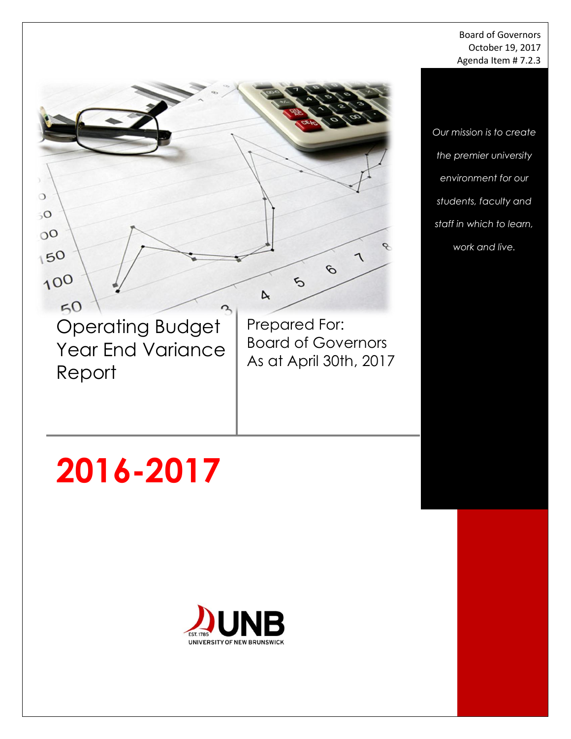#### Board of Governors October 19, 2017 Agenda Item # 7.2.3

*Our mission is to create the premier university environment for our students, faculty and staff in which to learn, work and live.*

 $50$ Operating Budget Year End Variance Report

 $\circ$  $50$ 

 $0<sup>o</sup>$ 

150

100

Prepared For: Board of Governors As at April 30th, 2017

 $\mathcal{O}$ 

 $\tilde{\mathcal{L}}$ 

 $\triangleright$ 

# **2016-2017**

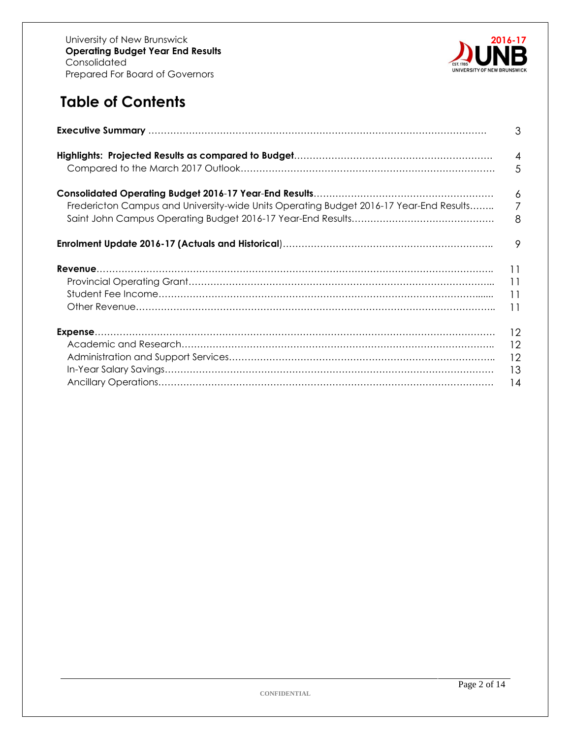

# **Table of Contents**

|                                                                                        | 3                                                     |
|----------------------------------------------------------------------------------------|-------------------------------------------------------|
|                                                                                        | $\overline{4}$                                        |
|                                                                                        | 5                                                     |
|                                                                                        | 6                                                     |
| Fredericton Campus and University-wide Units Operating Budget 2016-17 Year-End Results | $\overline{7}$                                        |
|                                                                                        | 8                                                     |
|                                                                                        | 9                                                     |
|                                                                                        | $\overline{11}$<br>$\overline{11}$<br>$\overline{11}$ |
|                                                                                        | 12                                                    |
|                                                                                        | 12                                                    |
|                                                                                        | 12                                                    |
|                                                                                        | -13                                                   |
|                                                                                        | 14                                                    |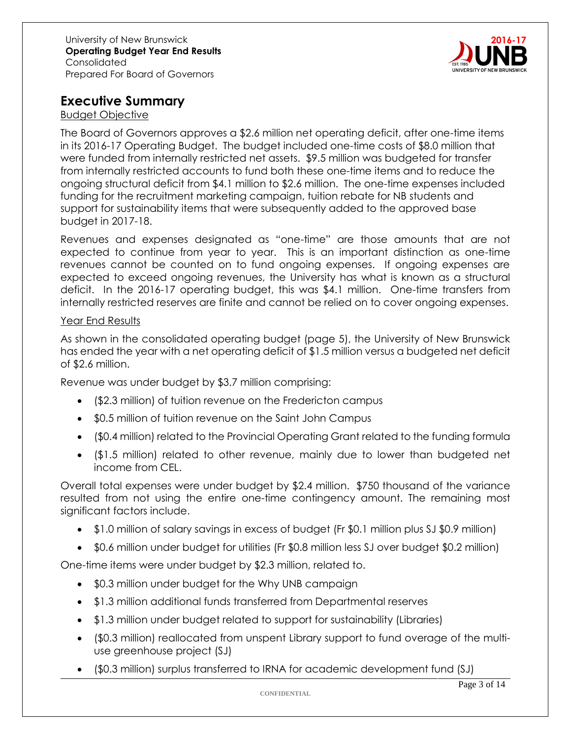

## **Executive Summary**

#### Budget Objective

The Board of Governors approves a \$2.6 million net operating deficit, after one-time items in its 2016-17 Operating Budget. The budget included one-time costs of \$8.0 million that were funded from internally restricted net assets. \$9.5 million was budgeted for transfer from internally restricted accounts to fund both these one-time items and to reduce the ongoing structural deficit from \$4.1 million to \$2.6 million. The one-time expenses included funding for the recruitment marketing campaign, tuition rebate for NB students and support for sustainability items that were subsequently added to the approved base budget in 2017-18.

Revenues and expenses designated as "one-time" are those amounts that are not expected to continue from year to year. This is an important distinction as one-time revenues cannot be counted on to fund ongoing expenses. If ongoing expenses are expected to exceed ongoing revenues, the University has what is known as a structural deficit. In the 2016-17 operating budget, this was \$4.1 million. One-time transfers from internally restricted reserves are finite and cannot be relied on to cover ongoing expenses.

#### Year End Results

As shown in the consolidated operating budget (page 5), the University of New Brunswick has ended the year with a net operating deficit of \$1.5 million versus a budgeted net deficit of \$2.6 million.

Revenue was under budget by \$3.7 million comprising:

- (\$2.3 million) of tuition revenue on the Fredericton campus
- \$0.5 million of tuition revenue on the Saint John Campus
- (\$0.4 million) related to the Provincial Operating Grant related to the funding formula
- (\$1.5 million) related to other revenue, mainly due to lower than budgeted net income from CEL.

Overall total expenses were under budget by \$2.4 million. \$750 thousand of the variance resulted from not using the entire one-time contingency amount. The remaining most significant factors include.

- \$1.0 million of salary savings in excess of budget (Fr \$0.1 million plus SJ \$0.9 million)
- \$0.6 million under budget for utilities (Fr \$0.8 million less SJ over budget \$0.2 million)

One-time items were under budget by \$2.3 million, related to.

- \$0.3 million under budget for the Why UNB campaign
- \$1.3 million additional funds transferred from Departmental reserves
- \$1.3 million under budget related to support for sustainability (Libraries)
- (\$0.3 million) reallocated from unspent Library support to fund overage of the multiuse greenhouse project (SJ)
- (\$0.3 million) surplus transferred to IRNA for academic development fund (SJ)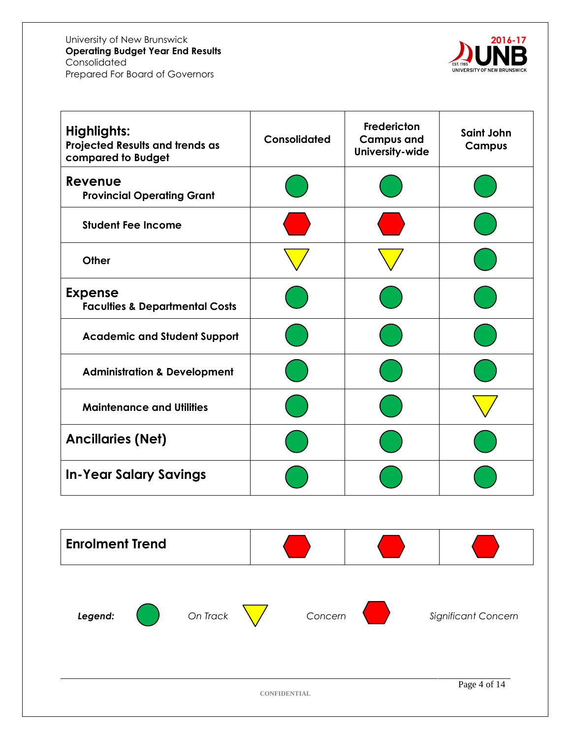

| Consolidated | Fredericton<br><b>Campus and</b><br>University-wide | Saint John<br><b>Campus</b> |
|--------------|-----------------------------------------------------|-----------------------------|
|              |                                                     |                             |
|              |                                                     |                             |
|              |                                                     |                             |
|              |                                                     |                             |
|              |                                                     |                             |
|              |                                                     |                             |
|              |                                                     |                             |
|              |                                                     |                             |
|              |                                                     |                             |
|              |                                                     |                             |
|              |                                                     |                             |
|              |                                                     |                             |
|              |                                                     |                             |





**Legend: Concern Concern Concern Significant Concern** 

**CONFIDENTIAL**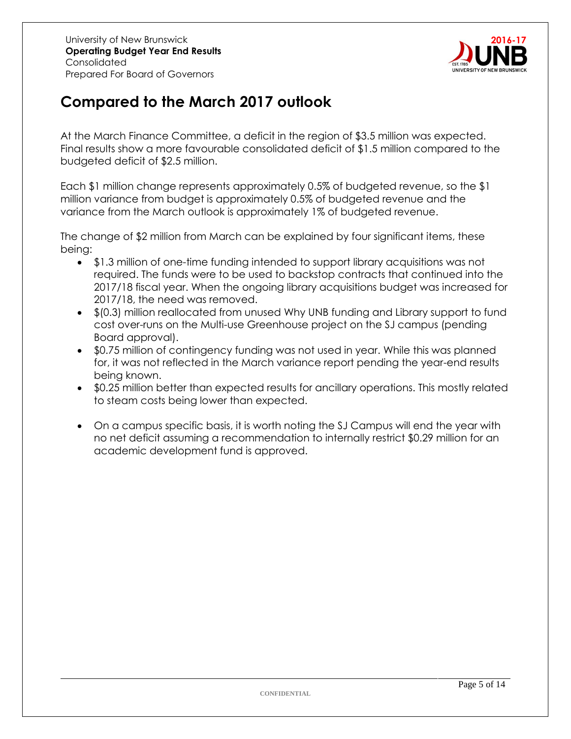

# **Compared to the March 2017 outlook**

At the March Finance Committee, a deficit in the region of \$3.5 million was expected. Final results show a more favourable consolidated deficit of \$1.5 million compared to the budgeted deficit of \$2.5 million.

Each \$1 million change represents approximately 0.5% of budgeted revenue, so the \$1 million variance from budget is approximately 0.5% of budgeted revenue and the variance from the March outlook is approximately 1% of budgeted revenue.

The change of \$2 million from March can be explained by four significant items, these being:

- \$1.3 million of one-time funding intended to support library acquisitions was not required. The funds were to be used to backstop contracts that continued into the 2017/18 fiscal year. When the ongoing library acquisitions budget was increased for 2017/18, the need was removed.
- \$(0.3) million reallocated from unused Why UNB funding and Library support to fund cost over-runs on the Multi-use Greenhouse project on the SJ campus (pending Board approval).
- \$0.75 million of contingency funding was not used in year. While this was planned for, it was not reflected in the March variance report pending the year-end results being known.
- \$0.25 million better than expected results for ancillary operations. This mostly related to steam costs being lower than expected.
- On a campus specific basis, it is worth noting the SJ Campus will end the year with no net deficit assuming a recommendation to internally restrict \$0.29 million for an academic development fund is approved.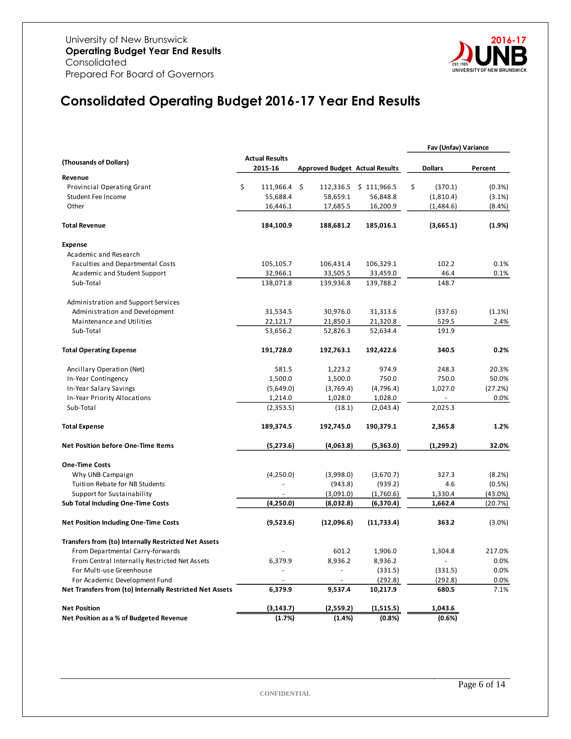

# **Consolidated Operating Budget 2016-17 Year End Results**

|                                                          |                       |            |                 |                                       | Fav (Unfav) Variance |           |
|----------------------------------------------------------|-----------------------|------------|-----------------|---------------------------------------|----------------------|-----------|
| (Thousands of Dollars)                                   | <b>Actual Results</b> |            |                 |                                       |                      |           |
|                                                          | 2015-16               |            |                 | <b>Approved Budget Actual Results</b> | <b>Dollars</b>       | Percent   |
| Revenue                                                  |                       |            |                 |                                       |                      |           |
| Provincial Operating Grant                               | \$                    | 111,966.4  | \$<br>112,336.5 | \$111,966.5                           | \$<br>(370.1)        | (0.3%     |
| Student Fee Income                                       |                       | 55,688.4   | 58,659.1        | 56,848.8                              | (1,810.4)            | $(3.1\%)$ |
| Other                                                    |                       | 16,446.1   | 17,685.5        | 16,200.9                              | (1,484.6)            | (8.4%)    |
| <b>Total Revenue</b>                                     |                       | 184,100.9  | 188,681.2       | 185,016.1                             | (3,665.1)            | (1.9%     |
| <b>Expense</b>                                           |                       |            |                 |                                       |                      |           |
| Academic and Research                                    |                       |            |                 |                                       |                      |           |
| Faculties and Departmental Costs                         |                       | 105,105.7  | 106,431.4       | 106,329.1                             | 102.2                | 0.1%      |
| Academic and Student Support                             |                       | 32,966.1   | 33,505.5        | 33,459.0                              | 46.4                 | 0.1%      |
| Sub-Total                                                |                       | 138,071.8  | 139,936.8       | 139,788.2                             | 148.7                |           |
| Administration and Support Services                      |                       |            |                 |                                       |                      |           |
| Administration and Development                           |                       | 31,534.5   | 30,976.0        | 31,313.6                              | (337.6)              | $(1.1\%)$ |
| Maintenance and Utilities                                |                       | 22,121.7   | 21,850.3        | 21,320.8                              | 529.5                | 2.4%      |
| Sub-Total                                                |                       | 53,656.2   | 52,826.3        | 52,634.4                              | 191.9                |           |
| <b>Total Operating Expense</b>                           |                       | 191,728.0  | 192,763.1       | 192,422.6                             | 340.5                | 0.2%      |
| Ancillary Operation (Net)                                |                       | 581.5      | 1,223.2         | 974.9                                 | 248.3                | 20.3%     |
| In-Year Contingency                                      |                       | 1,500.0    | 1,500.0         | 750.0                                 | 750.0                | 50.0%     |
| In-Year Salary Savings                                   |                       | (5,649.0)  | (3,769.4)       | (4,796.4)                             | 1,027.0              | (27.2%)   |
| In-Year Priority Allocations                             |                       | 1,214.0    | 1,028.0         | 1,028.0                               |                      | 0.0%      |
| Sub-Total                                                |                       | (2,353.5)  | (18.1)          | (2,043.4)                             | 2,025.3              |           |
| <b>Total Expense</b>                                     |                       | 189,374.5  | 192,745.0       | 190,379.1                             | 2,365.8              | 1.2%      |
| <b>Net Position before One-Time Items</b>                |                       | (5, 273.6) | (4,063.8)       | (5,363.0)                             | (1,299.2)            | 32.0%     |
| <b>One-Time Costs</b>                                    |                       |            |                 |                                       |                      |           |
| Why UNB Campaign                                         |                       | (4,250.0)  | (3,998.0)       | (3,670.7)                             | 327.3                | (8.2%)    |
| Tuition Rebate for NB Students                           |                       |            | (943.8)         | (939.2)                               | 4.6                  | $(0.5\%)$ |
| Support for Sustainability                               |                       |            | (3,091.0)       | (1,760.6)                             | 1,330.4              | (43.0%)   |
| Sub Total Including One-Time Costs                       |                       | (4,250.0)  | (8,032.8)       | (6,370.4)                             | 1,662.4              | (20.7%)   |
| <b>Net Position Including One-Time Costs</b>             |                       | (9,523.6)  | (12,096.6)      | (11,733.4)                            | 363.2                | $(3.0\%)$ |
| Transfers from (to) Internally Restricted Net Assets     |                       |            |                 |                                       |                      |           |
| From Departmental Carry-forwards                         |                       |            | 601.2           | 1,906.0                               | 1,304.8              | 217.0%    |
| From Central Internally Restricted Net Assets            |                       | 6,379.9    | 8,936.2         | 8,936.2                               |                      | 0.0%      |
| For Multi-use Greenhouse                                 |                       |            | $\blacksquare$  | (331.5)                               | (331.5)              | 0.0%      |
| For Academic Development Fund                            |                       |            | $\blacksquare$  | (292.8)                               | (292.8)              | 0.0%      |
| Net Transfers from (to) Internally Restricted Net Assets |                       | 6,379.9    | 9,537.4         | 10,217.9                              | 680.5                | 7.1%      |
| <b>Net Position</b>                                      |                       | (3, 143.7) | (2,559.2)       | (1,515.5)                             | 1,043.6              |           |
| Net Position as a % of Budgeted Revenue                  |                       | (1.7%)     | (1.4%)          | (0.8%                                 | (0.6%)               |           |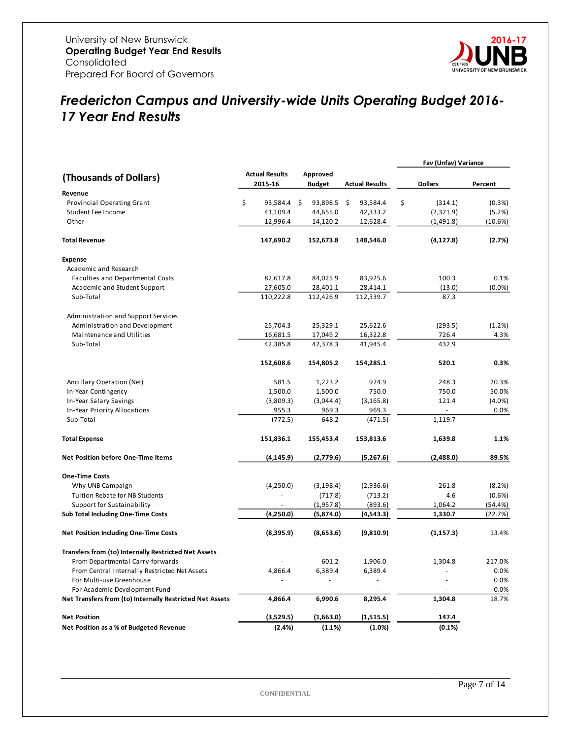

## *Fredericton Campus and University-wide Units Operating Budget 2016- 17 Year End Results*

|                                                          |                                  |                           |                       | Fav (Unfav) Variance |           |
|----------------------------------------------------------|----------------------------------|---------------------------|-----------------------|----------------------|-----------|
| (Thousands of Dollars)                                   | <b>Actual Results</b><br>2015-16 | Approved<br><b>Budget</b> | <b>Actual Results</b> | <b>Dollars</b>       | Percent   |
| Revenue                                                  |                                  |                           |                       |                      |           |
| <b>Provincial Operating Grant</b>                        | \$<br>93,584.4 \$                | 93,898.5                  | -\$<br>93,584.4       | \$<br>(314.1)        | (0.3%)    |
| Student Fee Income                                       | 41,109.4                         | 44,655.0                  | 42,333.2              | (2,321.9)            | (5.2%)    |
| Other                                                    | 12,996.4                         | 14,120.2                  | 12,628.4              | (1,491.8)            | (10.6%)   |
|                                                          |                                  |                           |                       |                      |           |
| <b>Total Revenue</b>                                     | 147,690.2                        | 152,673.8                 | 148,546.0             | (4, 127.8)           | (2.7%)    |
| <b>Expense</b>                                           |                                  |                           |                       |                      |           |
| Academic and Research                                    |                                  |                           |                       |                      |           |
| Faculties and Departmental Costs                         | 82,617.8                         | 84,025.9                  | 83,925.6              | 100.3                | 0.1%      |
| Academic and Student Support                             | 27,605.0                         | 28,401.1                  | 28,414.1              | (13.0)               | (0.0%     |
| Sub-Total                                                | 110,222.8                        | 112,426.9                 | 112,339.7             | 87.3                 |           |
| Administration and Support Services                      |                                  |                           |                       |                      |           |
| Administration and Development                           | 25,704.3                         | 25,329.1                  | 25,622.6              | (293.5)              | (1.2%)    |
| Maintenance and Utilities                                | 16,681.5                         | 17,049.2                  | 16,322.8              | 726.4                | 4.3%      |
| Sub-Total                                                | 42,385.8                         | 42,378.3                  | 41,945.4              | 432.9                |           |
|                                                          | 152,608.6                        | 154,805.2                 | 154,285.1             | 520.1                | 0.3%      |
| Ancillary Operation (Net)                                | 581.5                            | 1,223.2                   | 974.9                 | 248.3                | 20.3%     |
| In-Year Contingency                                      | 1,500.0                          | 1,500.0                   | 750.0                 | 750.0                | 50.0%     |
| In-Year Salary Savings                                   | (3,809.3)                        | (3,044.4)                 | (3, 165.8)            | 121.4                | $(4.0\%)$ |
| In-Year Priority Allocations                             | 955.3                            | 969.3                     | 969.3                 |                      | 0.0%      |
| Sub-Total                                                | (772.5)                          | 648.2                     | (471.5)               | 1,119.7              |           |
| <b>Total Expense</b>                                     | 151,836.1                        | 155,453.4                 | 153,813.6             | 1,639.8              | 1.1%      |
| <b>Net Position before One-Time Items</b>                | (4, 145.9)                       | (2,779.6)                 | (5,267.6)             | (2,488.0)            | 89.5%     |
| <b>One-Time Costs</b>                                    |                                  |                           |                       |                      |           |
| Why UNB Campaign                                         | (4,250.0)                        | (3, 198.4)                | (2,936.6)             | 261.8                | (8.2%)    |
| Tuition Rebate for NB Students                           |                                  | (717.8)                   | (713.2)               | 4.6                  | (0.6% )   |
| Support for Sustainability                               |                                  | (1,957.8)                 | (893.6)               | 1,064.2              | (54.4%)   |
| Sub Total Including One-Time Costs                       | (4,250.0)                        | (5,874.0)                 | (4,543.3)             | 1,330.7              | (22.7%)   |
| <b>Net Position Including One-Time Costs</b>             | (8,395.9)                        | (8,653.6)                 | (9,810.9)             | (1, 157.3)           | 13.4%     |
| Transfers from (to) Internally Restricted Net Assets     |                                  |                           |                       |                      |           |
| From Departmental Carry-forwards                         |                                  | 601.2                     | 1,906.0               | 1,304.8              | 217.0%    |
| From Central Internally Restricted Net Assets            | 4,866.4                          | 6,389.4                   | 6,389.4               |                      | 0.0%      |
| For Multi-use Greenhouse                                 |                                  | $\overline{\phantom{a}}$  |                       |                      | 0.0%      |
| For Academic Development Fund                            |                                  | ÷,                        |                       |                      | 0.0%      |
| Net Transfers from (to) Internally Restricted Net Assets | 4,866.4                          | 6,990.6                   | 8,295.4               | 1,304.8              | 18.7%     |
| <b>Net Position</b>                                      | (3,529.5)                        | (1,663.0)                 | (1,515.5)             | 147.4                |           |
| Net Position as a % of Budgeted Revenue                  | (2.4%)                           | (1.1%)                    | (1.0%)                | (0.1%)               |           |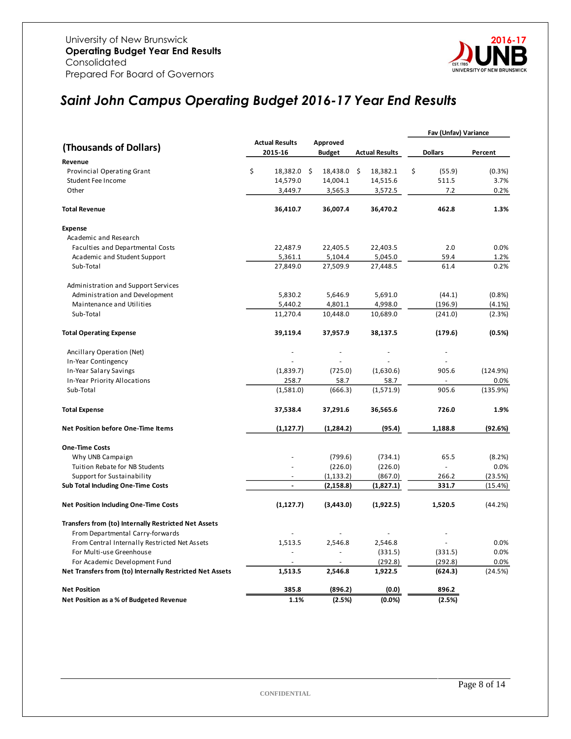

# *Saint John Campus Operating Budget 2016-17 Year End Results*

|                                                          |                       |               |                       | Fav (Unfav) Variance |           |
|----------------------------------------------------------|-----------------------|---------------|-----------------------|----------------------|-----------|
|                                                          | <b>Actual Results</b> | Approved      |                       |                      |           |
| (Thousands of Dollars)                                   | 2015-16               | <b>Budget</b> | <b>Actual Results</b> | <b>Dollars</b>       | Percent   |
| Revenue                                                  |                       |               |                       |                      |           |
| Provincial Operating Grant                               | \$<br>18,382.0 \$     | 18,438.0      | \$<br>18,382.1        | \$<br>(55.9)         | (0.3%)    |
| Student Fee Income                                       | 14,579.0              | 14,004.1      | 14,515.6              | 511.5                | 3.7%      |
| Other                                                    | 3,449.7               | 3,565.3       | 3,572.5               | 7.2                  | 0.2%      |
|                                                          |                       |               |                       |                      |           |
| <b>Total Revenue</b>                                     | 36,410.7              | 36,007.4      | 36,470.2              | 462.8                | 1.3%      |
| <b>Expense</b>                                           |                       |               |                       |                      |           |
| Academic and Research                                    |                       |               |                       |                      |           |
| Faculties and Departmental Costs                         | 22,487.9              | 22,405.5      | 22,403.5              | 2.0                  | 0.0%      |
| Academic and Student Support                             | 5,361.1               | 5,104.4       | 5,045.0               | 59.4                 | 1.2%      |
| Sub-Total                                                | 27,849.0              | 27,509.9      | 27,448.5              | 61.4                 | 0.2%      |
| Administration and Support Services                      |                       |               |                       |                      |           |
| Administration and Development                           | 5,830.2               | 5,646.9       | 5,691.0               | (44.1)               | (0.8%     |
| Maintenance and Utilities                                | 5,440.2               | 4,801.1       | 4,998.0               | (196.9)              | $(4.1\%)$ |
| Sub-Total                                                | 11,270.4              | 10,448.0      | 10,689.0              | (241.0)              | (2.3%)    |
| <b>Total Operating Expense</b>                           | 39,119.4              | 37,957.9      | 38,137.5              | (179.6)              | (0.5%)    |
| Ancillary Operation (Net)                                |                       |               |                       |                      |           |
| In-Year Contingency                                      |                       |               |                       |                      |           |
| In-Year Salary Savings                                   | (1,839.7)             | (725.0)       | (1,630.6)             | 905.6                | (124.9%)  |
| In-Year Priority Allocations                             | 258.7                 | 58.7          | 58.7                  |                      | 0.0%      |
| Sub-Total                                                | (1,581.0)             | (666.3)       | (1,571.9)             | 905.6                | (135.9%)  |
| <b>Total Expense</b>                                     | 37,538.4              | 37,291.6      | 36,565.6              | 726.0                | 1.9%      |
| <b>Net Position before One-Time Items</b>                | (1, 127.7)            | (1, 284.2)    | (95.4)                | 1,188.8              | (92.6%)   |
| <b>One-Time Costs</b>                                    |                       |               |                       |                      |           |
| Why UNB Campaign                                         |                       | (799.6)       | (734.1)               | 65.5                 | (8.2%)    |
| Tuition Rebate for NB Students                           |                       | (226.0)       | (226.0)               |                      | 0.0%      |
| Support for Sustainability                               |                       | (1, 133.2)    | (867.0)               | 266.2                | (23.5%)   |
| Sub Total Including One-Time Costs                       | $\blacksquare$        | (2, 158.8)    | (1,827.1)             | 331.7                | (15.4%)   |
| <b>Net Position Including One-Time Costs</b>             | (1, 127.7)            | (3,443.0)     | (1,922.5)             | 1,520.5              | (44.2%)   |
| Transfers from (to) Internally Restricted Net Assets     |                       |               |                       |                      |           |
| From Departmental Carry-forwards                         |                       |               |                       |                      |           |
| From Central Internally Restricted Net Assets            | 1,513.5               | 2,546.8       | 2,546.8               |                      | 0.0%      |
| For Multi-use Greenhouse                                 |                       | L.            | (331.5)               | (331.5)              | 0.0%      |
| For Academic Development Fund                            |                       | ä,            | (292.8)               | (292.8)              | 0.0%      |
| Net Transfers from (to) Internally Restricted Net Assets | 1,513.5               | 2,546.8       | 1,922.5               | (624.3)              | (24.5%)   |
| <b>Net Position</b>                                      | 385.8                 | (896.2)       | (0.0)                 | 896.2                |           |
| Net Position as a % of Budgeted Revenue                  | 1.1%                  | (2.5%)        | (0.0%                 | (2.5%)               |           |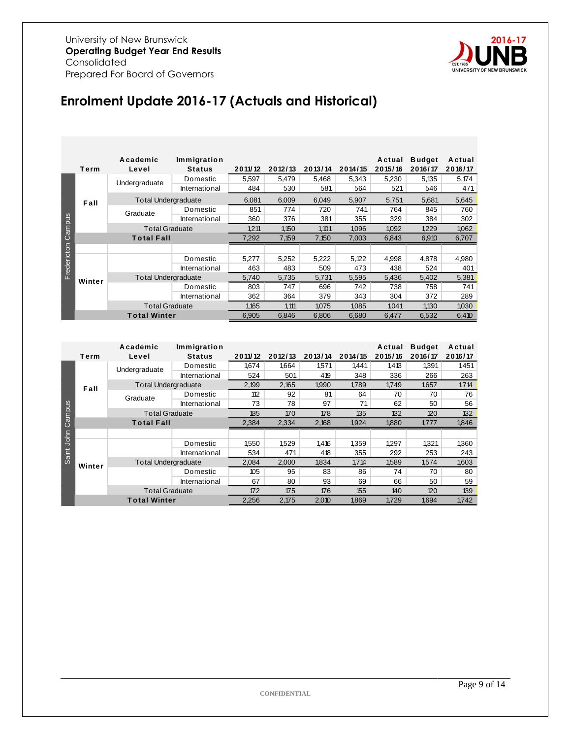

# **Enrolment Update 2016-17 (Actuals and Historical)**

|             | Term                | Academic<br>Level          | Immigration<br><b>Status</b> | 2011/12 | 2012/13 | 2013/14 | 2014/15 | Actual<br>2015/16 | <b>Budget</b><br>2016/17 | Actual<br>2016/17 |
|-------------|---------------------|----------------------------|------------------------------|---------|---------|---------|---------|-------------------|--------------------------|-------------------|
|             |                     | Undergraduate              | Domestic                     | 5,597   | 5,479   | 5,468   | 5,343   | 5,230             | 5,135                    | 5,174             |
|             |                     |                            | International                | 484     | 530     | 581     | 564     | 521               | 546                      | 471               |
|             | Fall                | <b>Total Undergraduate</b> |                              | 6,081   | 6,009   | 6,049   | 5,907   | 5,751             | 5,681                    | 5,645             |
|             |                     | Graduate                   | Domestic                     | 851     | 774     | 720     | 741     | 764               | 845                      | 760               |
| Campus      |                     |                            | International                | 360     | 376     | 381     | 355     | 329               | 384                      | 302               |
|             |                     | <b>Total Graduate</b>      |                              | 1.211   | 1.150   | 1,101   | 1.096   | 1.092             | 1.229                    | 1,062             |
|             |                     | <b>Total Fall</b>          |                              | 7,292   | 7,159   | 7,150   | 7,003   | 6,843             | 6,910                    | 6,707             |
| Fredericton |                     |                            |                              |         |         |         |         |                   |                          |                   |
|             |                     |                            | Domestic                     | 5,277   | 5,252   | 5,222   | 5,122   | 4,998             | 4.878                    | 4,980             |
|             |                     |                            | International                | 463     | 483     | 509     | 473     | 438               | 524                      | 401               |
|             | Winter              | <b>Total Undergraduate</b> |                              | 5,740   | 5,735   | 5,731   | 5,595   | 5,436             | 5,402                    | 5,381             |
|             |                     |                            | Domestic                     | 803     | 747     | 696     | 742     | 738               | 758                      | 741               |
|             |                     |                            | International                | 362     | 364     | 379     | 343     | 304               | 372                      | 289               |
|             |                     | <b>Total Graduate</b>      |                              | 1,165   | 1,111   | 1,075   | 1,085   | 1,041             | 1,130                    | 1,030             |
|             | <b>Total Winter</b> |                            |                              | 6,905   | 6,846   | 6,806   | 6,680   | 6,477             | 6,532                    | 6,410             |

|             |                   | Academic                   | Immigration   |         |         |         |         | Actual  | <b>Budget</b> | Actual  |
|-------------|-------------------|----------------------------|---------------|---------|---------|---------|---------|---------|---------------|---------|
|             | Term              | Level                      | <b>Status</b> | 2011/12 | 2012/13 | 2013/14 | 2014/15 | 2015/16 | 2016/17       | 2016/17 |
|             |                   | Undergraduate              | Domestic      | 1,674   | 1,664   | 1,571   | 1,441   | 1,413   | 1,391         | 1,451   |
|             |                   |                            | International | 524     | 501     | 419     | 348     | 336     | 266           | 263     |
|             | Fall              | <b>Total Undergraduate</b> |               | 2,199   | 2,165   | 1,990   | 1,789   | 1,749   | 1.657         | 1,714   |
|             |                   | Graduate                   | Domestic      | 112     | 92      | 81      | 64      | 70      | 70            | 76      |
|             |                   |                            | International | 73      | 78      | 97      | 71      | 62      | 50            | 56      |
|             |                   | <b>Total Graduate</b>      |               | 185     | 170     | 178     | 135     | 132     | 120           | 132     |
| Campus      | <b>Total Fall</b> |                            | 2,384         | 2,334   | 2,168   | 1,924   | 1,880   | 1,777   | 1,846         |         |
| <b>John</b> |                   |                            |               |         |         |         |         |         |               |         |
|             |                   |                            | Domestic      | 1,550   | 1,529   | 1,416   | 1,359   | 1,297   | 1,321         | 1,360   |
| Saint       |                   |                            | International | 534     | 471     | 418     | 355     | 292     | 253           | 243     |
|             | Winter            | <b>Total Undergraduate</b> |               | 2,084   | 2,000   | 1,834   | 1,714   | 1,589   | 1,574         | 1,603   |
|             |                   |                            | Domestic      | 105     | 95      | 83      | 86      | 74      | 70            | 80      |
|             |                   |                            | International | 67      | 80      | 93      | 69      | 66      | 50            | 59      |
|             |                   | <b>Total Graduate</b>      |               | 172     | 175     | 176     | 155     | 140     | 120           | 139     |
|             |                   | <b>Total Winter</b>        |               | 2,256   | 2,175   | 2,010   | 1,869   | 1.729   | 1.694         | 1.742   |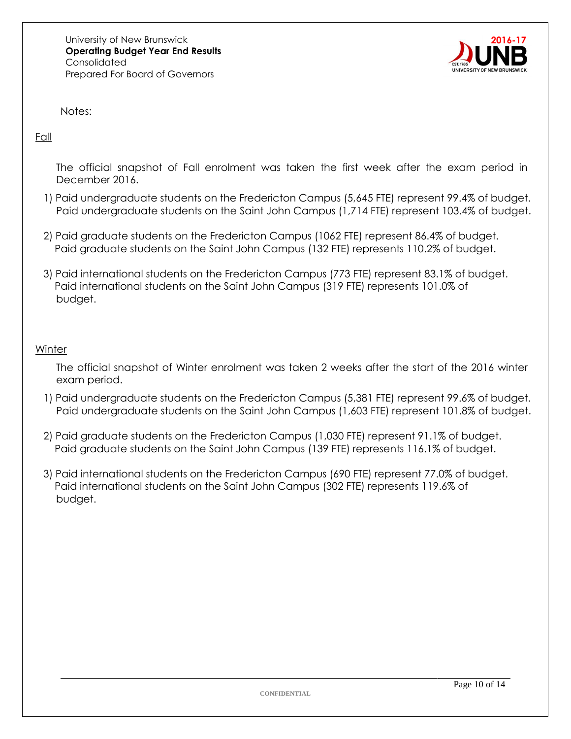

Notes:

Fall

The official snapshot of Fall enrolment was taken the first week after the exam period in December 2016.

- 1) Paid undergraduate students on the Fredericton Campus (5,645 FTE) represent 99.4% of budget. Paid undergraduate students on the Saint John Campus (1,714 FTE) represent 103.4% of budget.
- 2) Paid graduate students on the Fredericton Campus (1062 FTE) represent 86.4% of budget. Paid graduate students on the Saint John Campus (132 FTE) represents 110.2% of budget.
- 3) Paid international students on the Fredericton Campus (773 FTE) represent 83.1% of budget. Paid international students on the Saint John Campus (319 FTE) represents 101.0% of budget.

#### **Winter**

The official snapshot of Winter enrolment was taken 2 weeks after the start of the 2016 winter exam period.

- 1) Paid undergraduate students on the Fredericton Campus (5,381 FTE) represent 99.6% of budget. Paid undergraduate students on the Saint John Campus (1,603 FTE) represent 101.8% of budget.
- 2) Paid graduate students on the Fredericton Campus (1,030 FTE) represent 91.1% of budget. Paid graduate students on the Saint John Campus (139 FTE) represents 116.1% of budget.
- 3) Paid international students on the Fredericton Campus (690 FTE) represent 77.0% of budget. Paid international students on the Saint John Campus (302 FTE) represents 119.6% of budget.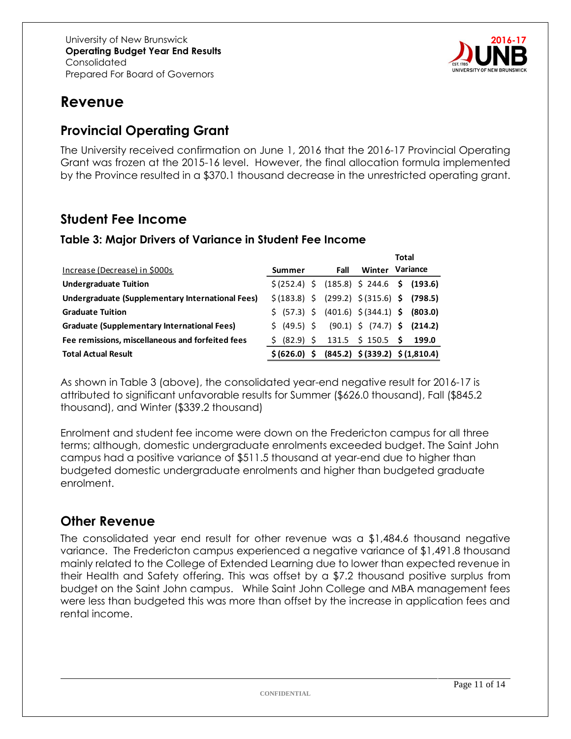

# **Revenue**

## **Provincial Operating Grant**

The University received confirmation on June 1, 2016 that the 2016-17 Provincial Operating Grant was frozen at the 2015-16 level. However, the final allocation formula implemented by the Province resulted in a \$370.1 thousand decrease in the unrestricted operating grant.

## **Student Fee Income**

#### **Table 3: Major Drivers of Variance in Student Fee Income**

|                                                    |                                                                                           |      | Total           |
|----------------------------------------------------|-------------------------------------------------------------------------------------------|------|-----------------|
| Increase (Decrease) in \$000s                      | Summer                                                                                    | Fall | Winter Variance |
| <b>Undergraduate Tuition</b>                       | $\frac{1}{2}$ (252.4) $\frac{1}{2}$ (185.8) $\frac{1}{2}$ 244.6 $\frac{1}{2}$ (193.6)     |      |                 |
| Undergraduate (Supplementary International Fees)   | $\frac{1}{2}$ (183.8) $\frac{1}{2}$ (299.2) $\frac{1}{2}$ (315.6) $\frac{1}{2}$ (798.5)   |      |                 |
| <b>Graduate Tuition</b>                            | $\frac{1}{2}$ (57.3) $\frac{1}{2}$ (401.6) $\frac{1}{2}$ (344.1) $\frac{1}{2}$ (803.0)    |      |                 |
| <b>Graduate (Supplementary International Fees)</b> | $\frac{1}{2}$ (49.5) $\frac{1}{2}$ (90.1) $\frac{1}{2}$ (74.7) $\frac{1}{2}$ (214.2)      |      |                 |
| Fee remissions, miscellaneous and forfeited fees   | $\frac{1}{2}$ (82.9) $\frac{1}{2}$ 131.5 $\frac{1}{2}$ 150.5 $\frac{1}{2}$ 199.0          |      |                 |
| <b>Total Actual Result</b>                         | $\frac{1}{2}$ (626.0) $\frac{1}{2}$ (845.2) $\frac{1}{2}$ (339.2) $\frac{1}{2}$ (1,810.4) |      |                 |

As shown in Table 3 (above), the consolidated year-end negative result for 2016-17 is attributed to significant unfavorable results for Summer (\$626.0 thousand), Fall (\$845.2 thousand), and Winter (\$339.2 thousand)

Enrolment and student fee income were down on the Fredericton campus for all three terms; although, domestic undergraduate enrolments exceeded budget. The Saint John campus had a positive variance of \$511.5 thousand at year-end due to higher than budgeted domestic undergraduate enrolments and higher than budgeted graduate enrolment.

#### **Other Revenue**

The consolidated year end result for other revenue was a \$1,484.6 thousand negative variance. The Fredericton campus experienced a negative variance of \$1,491.8 thousand mainly related to the College of Extended Learning due to lower than expected revenue in their Health and Safety offering. This was offset by a \$7.2 thousand positive surplus from budget on the Saint John campus. While Saint John College and MBA management fees were less than budgeted this was more than offset by the increase in application fees and rental income.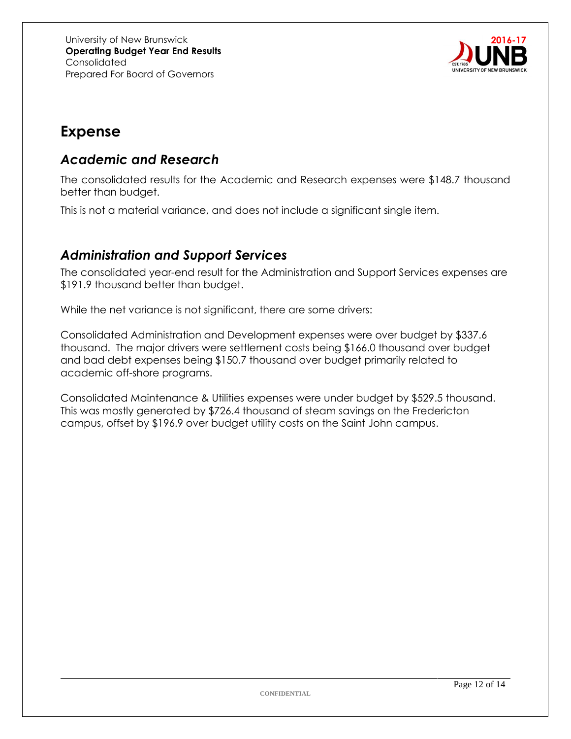

# **Expense**

### *Academic and Research*

The consolidated results for the Academic and Research expenses were \$148.7 thousand better than budget.

This is not a material variance, and does not include a significant single item.

## *Administration and Support Services*

The consolidated year-end result for the Administration and Support Services expenses are \$191.9 thousand better than budget.

While the net variance is not significant, there are some drivers:

Consolidated Administration and Development expenses were over budget by \$337.6 thousand. The major drivers were settlement costs being \$166.0 thousand over budget and bad debt expenses being \$150.7 thousand over budget primarily related to academic off-shore programs.

Consolidated Maintenance & Utilities expenses were under budget by \$529.5 thousand. This was mostly generated by \$726.4 thousand of steam savings on the Fredericton campus, offset by \$196.9 over budget utility costs on the Saint John campus.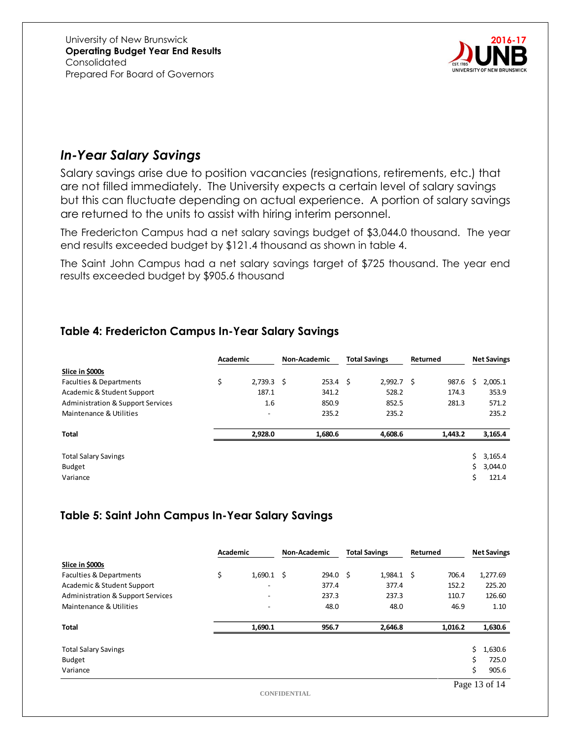

## *In-Year Salary Savings*

Salary savings arise due to position vacancies (resignations, retirements, etc.) that are not filled immediately. The University expects a certain level of salary savings but this can fluctuate depending on actual experience. A portion of salary savings are returned to the units to assist with hiring interim personnel.

The Fredericton Campus had a net salary savings budget of \$3,044.0 thousand. The year end results exceeded budget by \$121.4 thousand as shown in table 4.

The Saint John Campus had a net salary savings target of \$725 thousand. The year end results exceeded budget by \$905.6 thousand

#### **Table 4: Fredericton Campus In-Year Salary Savings**

|                                              | Academic |                          | <b>Non-Academic</b> |                  | <b>Total Savings</b> | Returned |         | <b>Net Savings</b> |         |
|----------------------------------------------|----------|--------------------------|---------------------|------------------|----------------------|----------|---------|--------------------|---------|
| Slice in \$000s                              |          |                          |                     |                  |                      |          |         |                    |         |
| <b>Faculties &amp; Departments</b>           | \$       | $2,739.3$ \$             |                     | $253.4 \quad$ \$ | 2,992.7              | - \$     | 987.6   | Ś                  | 2,005.1 |
| Academic & Student Support                   |          | 187.1                    |                     | 341.2            | 528.2                |          | 174.3   |                    | 353.9   |
| <b>Administration &amp; Support Services</b> |          | 1.6                      |                     | 850.9            | 852.5                |          | 281.3   |                    | 571.2   |
| Maintenance & Utilities                      |          | $\overline{\phantom{a}}$ |                     | 235.2            | 235.2                |          |         |                    | 235.2   |
|                                              |          |                          |                     |                  |                      |          |         |                    |         |
| <b>Total</b>                                 |          | 2,928.0                  |                     | 1,680.6          | 4,608.6              |          | 1,443.2 |                    | 3,165.4 |
|                                              |          |                          |                     |                  |                      |          |         |                    |         |
| <b>Total Salary Savings</b>                  |          |                          |                     |                  |                      |          |         | Ś.                 | 3,165.4 |
| <b>Budget</b>                                |          |                          |                     |                  |                      |          |         | Ś.                 | 3,044.0 |
| Variance                                     |          |                          |                     |                  |                      |          |         | Ś                  | 121.4   |

#### **Table 5: Saint John Campus In-Year Salary Savings**

|                                              | Academic |                          | <b>Non-Academic</b>      | <b>Total Savings</b> |              | Returned |         | <b>Net Savings</b>           |
|----------------------------------------------|----------|--------------------------|--------------------------|----------------------|--------------|----------|---------|------------------------------|
| Slice in \$000s                              |          |                          |                          |                      |              |          |         |                              |
| <b>Faculties &amp; Departments</b>           | \$       | 1,690.1                  | \$<br>294.0 <sup>5</sup> |                      | $1,984.1$ \$ |          | 706.4   | 1,277.69                     |
| Academic & Student Support                   |          | $\overline{\phantom{a}}$ | 377.4                    |                      | 377.4        |          | 152.2   | 225.20                       |
| <b>Administration &amp; Support Services</b> |          | $\overline{\phantom{a}}$ | 237.3                    |                      | 237.3        |          | 110.7   | 126.60                       |
| Maintenance & Utilities                      |          | $\overline{\phantom{a}}$ | 48.0                     |                      | 48.0         |          | 46.9    | 1.10                         |
| <b>Total</b>                                 |          | 1,690.1                  | 956.7                    |                      | 2,646.8      |          | 1,016.2 | 1,630.6                      |
| <b>Total Salary Savings</b>                  |          |                          |                          |                      |              |          |         | \$<br>1,630.6                |
| Budget                                       |          |                          |                          |                      |              |          |         | \$<br>725.0                  |
| Variance                                     |          |                          |                          |                      |              |          |         | \$<br>905.6                  |
|                                              |          |                          |                          |                      |              |          |         | $D_{\text{max}}$ 12 $\pm$ 14 |

**CONFIDENTIAL**